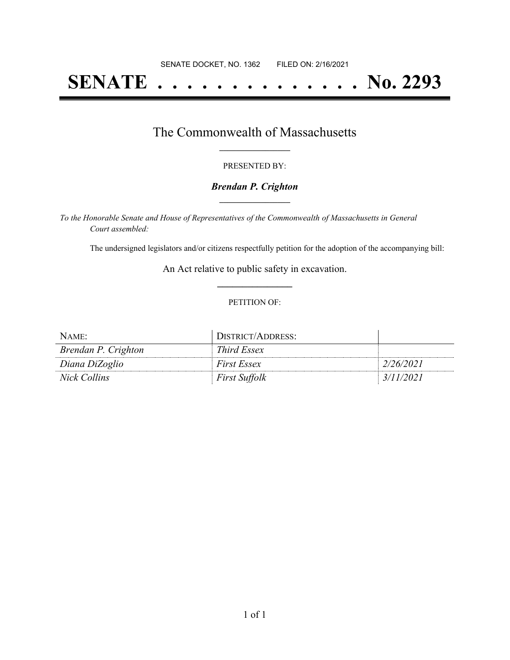# **SENATE . . . . . . . . . . . . . . No. 2293**

### The Commonwealth of Massachusetts **\_\_\_\_\_\_\_\_\_\_\_\_\_\_\_\_\_**

#### PRESENTED BY:

#### *Brendan P. Crighton* **\_\_\_\_\_\_\_\_\_\_\_\_\_\_\_\_\_**

*To the Honorable Senate and House of Representatives of the Commonwealth of Massachusetts in General Court assembled:*

The undersigned legislators and/or citizens respectfully petition for the adoption of the accompanying bill:

An Act relative to public safety in excavation. **\_\_\_\_\_\_\_\_\_\_\_\_\_\_\_**

#### PETITION OF:

| NAME:               | DISTRICT/ADDRESS:    |           |
|---------------------|----------------------|-----------|
| Brendan P. Crighton | Third Essex          |           |
| Diana DiZoglio      | <i>First Essex</i>   | 2/26/2021 |
| Nick Collins        | <i>First Suffolk</i> | 3/11/2021 |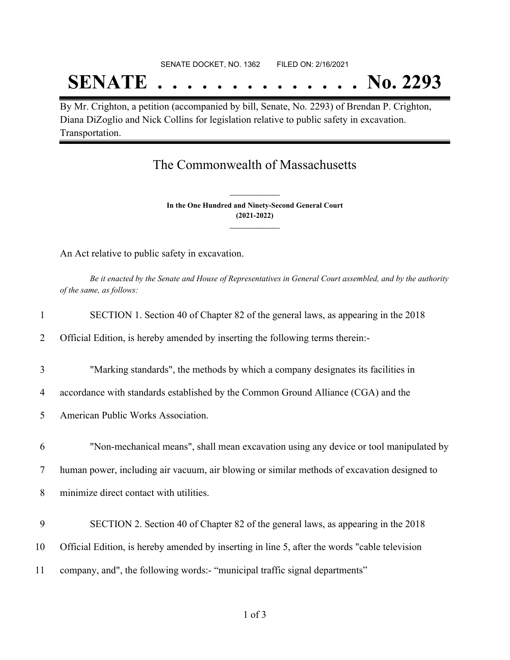#### SENATE DOCKET, NO. 1362 FILED ON: 2/16/2021

## **SENATE . . . . . . . . . . . . . . No. 2293**

By Mr. Crighton, a petition (accompanied by bill, Senate, No. 2293) of Brendan P. Crighton, Diana DiZoglio and Nick Collins for legislation relative to public safety in excavation. Transportation.

### The Commonwealth of Massachusetts

**In the One Hundred and Ninety-Second General Court (2021-2022) \_\_\_\_\_\_\_\_\_\_\_\_\_\_\_**

**\_\_\_\_\_\_\_\_\_\_\_\_\_\_\_**

An Act relative to public safety in excavation.

Be it enacted by the Senate and House of Representatives in General Court assembled, and by the authority *of the same, as follows:*

| $\mathbf{1}$ | SECTION 1. Section 40 of Chapter 82 of the general laws, as appearing in the 2018             |
|--------------|-----------------------------------------------------------------------------------------------|
| 2            | Official Edition, is hereby amended by inserting the following terms therein:-                |
| 3            | "Marking standards", the methods by which a company designates its facilities in              |
| 4            | accordance with standards established by the Common Ground Alliance (CGA) and the             |
| 5            | American Public Works Association.                                                            |
| 6            | "Non-mechanical means", shall mean excavation using any device or tool manipulated by         |
| 7            | human power, including air vacuum, air blowing or similar methods of excavation designed to   |
| 8            | minimize direct contact with utilities.                                                       |
| 9            | SECTION 2. Section 40 of Chapter 82 of the general laws, as appearing in the 2018             |
| 10           | Official Edition, is hereby amended by inserting in line 5, after the words "cable television |
| 11           | company, and", the following words:- "municipal traffic signal departments"                   |
|              |                                                                                               |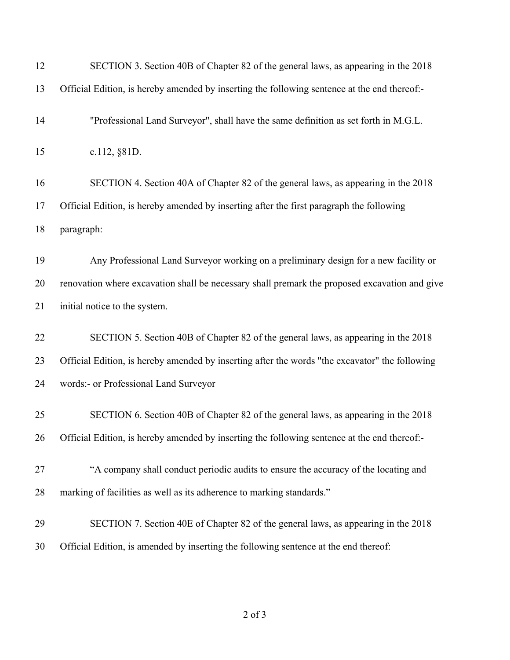| 12 | SECTION 3. Section 40B of Chapter 82 of the general laws, as appearing in the 2018             |
|----|------------------------------------------------------------------------------------------------|
| 13 | Official Edition, is hereby amended by inserting the following sentence at the end thereof:-   |
| 14 | "Professional Land Surveyor", shall have the same definition as set forth in M.G.L.            |
| 15 | c.112, §81D.                                                                                   |
| 16 | SECTION 4. Section 40A of Chapter 82 of the general laws, as appearing in the 2018             |
| 17 | Official Edition, is hereby amended by inserting after the first paragraph the following       |
| 18 | paragraph:                                                                                     |
| 19 | Any Professional Land Surveyor working on a preliminary design for a new facility or           |
| 20 | renovation where excavation shall be necessary shall premark the proposed excavation and give  |
| 21 | initial notice to the system.                                                                  |
| 22 | SECTION 5. Section 40B of Chapter 82 of the general laws, as appearing in the 2018             |
| 23 | Official Edition, is hereby amended by inserting after the words "the excavator" the following |
| 24 | words:- or Professional Land Surveyor                                                          |
| 25 | SECTION 6. Section 40B of Chapter 82 of the general laws, as appearing in the 2018             |
| 26 | Official Edition, is hereby amended by inserting the following sentence at the end thereof:-   |
| 27 | "A company shall conduct periodic audits to ensure the accuracy of the locating and            |
| 28 | marking of facilities as well as its adherence to marking standards."                          |
| 29 | SECTION 7. Section 40E of Chapter 82 of the general laws, as appearing in the 2018             |
| 30 | Official Edition, is amended by inserting the following sentence at the end thereof:           |